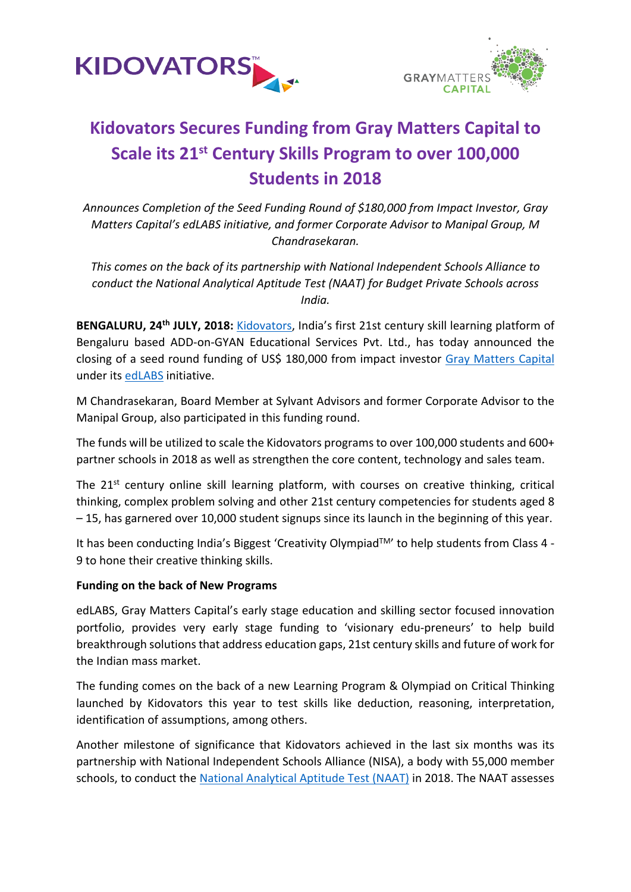



## **Kidovators Secures Funding from Gray Matters Capital to Scale its 21st Century Skills Program to over 100,000 Students in 2018**

*Announces Completion of the Seed Funding Round of \$180,000 from Impact Investor, Gray Matters Capital's edLABS initiative, and former Corporate Advisor to Manipal Group, M Chandrasekaran.*

*This comes on the back of its partnership with National Independent Schools Alliance to conduct the National Analytical Aptitude Test (NAAT) for Budget Private Schools across India.*

**BENGALURU, 24th JULY, 2018:** [Kidovators,](https://kidovators.com/) India's first 21st century skill learning platform of Bengaluru based ADD-on-GYAN Educational Services Pvt. Ltd., has today announced the closing of a seed round funding of US\$ 180,000 from impact investor [Gray Matters Capital](http://graymatterscap.com/) under its [edLABS](http://graymatterscap.com/edlabs/) initiative.

M Chandrasekaran, Board Member at Sylvant Advisors and former Corporate Advisor to the Manipal Group, also participated in this funding round.

The funds will be utilized to scale the Kidovators programs to over 100,000 students and 600+ partner schools in 2018 as well as strengthen the core content, technology and sales team.

The 21<sup>st</sup> century online skill learning platform, with courses on creative thinking, critical thinking, complex problem solving and other 21st century competencies for students aged 8 – 15, has garnered over 10,000 student signups since its launch in the beginning of this year.

It has been conducting India's Biggest 'Creativity Olympiad™' to help students from Class 4 -9 to hone their creative thinking skills.

#### **Funding on the back of New Programs**

edLABS, Gray Matters Capital's early stage education and skilling sector focused innovation portfolio, provides very early stage funding to 'visionary edu-preneurs' to help build breakthrough solutions that address education gaps, 21st century skills and future of work for the Indian mass market.

The funding comes on the back of a new Learning Program & Olympiad on Critical Thinking launched by Kidovators this year to test skills like deduction, reasoning, interpretation, identification of assumptions, among others.

Another milestone of significance that Kidovators achieved in the last six months was its partnership with National Independent Schools Alliance (NISA), a body with 55,000 member schools, to conduct the [National Analytical Aptitude Test \(NAAT\)](https://nisanaat.kidovators.com/) in 2018. The NAAT assesses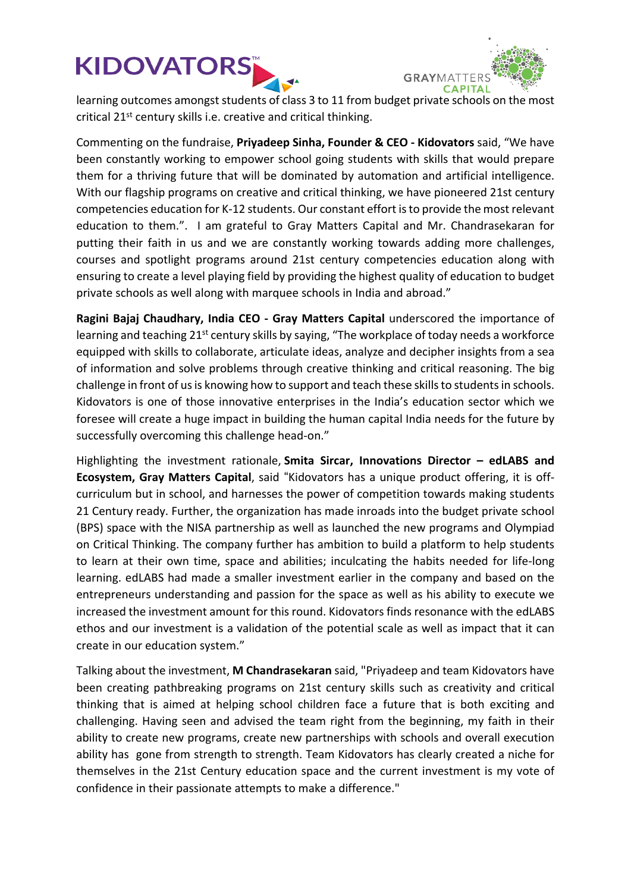# **KIDOVATORS**



[learning outcomes amongst students of clas](https://kidovators.com/)s 3 to 11 from budget private schools on the most critical 21<sup>st</sup> century skills i.e. creative and critical thinking.

Commenting on the fundraise, **Priyadeep Sinha, Founder & CEO - Kidovators** said, "We have been constantly working to empower school going students with skills that would prepare them for a thriving future that will be dominated by automation and artificial intelligence. With our flagship programs on creative and critical thinking, we have pioneered 21st century competencies education for K-12 students. Our constant effort is to provide the most relevant education to them.". I am grateful to Gray Matters Capital and Mr. Chandrasekaran for putting their faith in us and we are constantly working towards adding more challenges, courses and spotlight programs around 21st century competencies education along with ensuring to create a level playing field by providing the highest quality of education to budget private schools as well along with marquee schools in India and abroad."

**Ragini Bajaj Chaudhary, India CEO - Gray Matters Capital** underscored the importance of learning and teaching 21<sup>st</sup> century skills by saying, "The workplace of today needs a workforce equipped with skills to collaborate, articulate ideas, analyze and decipher insights from a sea of information and solve problems through creative thinking and critical reasoning. The big challenge in front of us is knowing how to support and teach these skills to students in schools. Kidovators is one of those innovative enterprises in the India's education sector which we foresee will create a huge impact in building the human capital India needs for the future by successfully overcoming this challenge head-on."

Highlighting the investment rationale, **Smita Sircar, Innovations Director – edLABS and Ecosystem, Gray Matters Capital**, said "Kidovators has a unique product offering, it is offcurriculum but in school, and harnesses the power of competition towards making students 21 Century ready. Further, the organization has made inroads into the budget private school (BPS) space with the NISA partnership as well as launched the new programs and Olympiad on Critical Thinking. The company further has ambition to build a platform to help students to learn at their own time, space and abilities; inculcating the habits needed for life-long learning. edLABS had made a smaller investment earlier in the company and based on the entrepreneurs understanding and passion for the space as well as his ability to execute we increased the investment amount for this round. Kidovators finds resonance with the edLABS ethos and our investment is a validation of the potential scale as well as impact that it can create in our education system."

Talking about the investment, **M Chandrasekaran** said, "Priyadeep and team Kidovators have been creating pathbreaking programs on 21st century skills such as creativity and critical thinking that is aimed at helping school children face a future that is both exciting and challenging. Having seen and advised the team right from the beginning, my faith in their ability to create new programs, create new partnerships with schools and overall execution ability has gone from strength to strength. Team Kidovators has clearly created a niche for themselves in the 21st Century education space and the current investment is my vote of confidence in their passionate attempts to make a difference."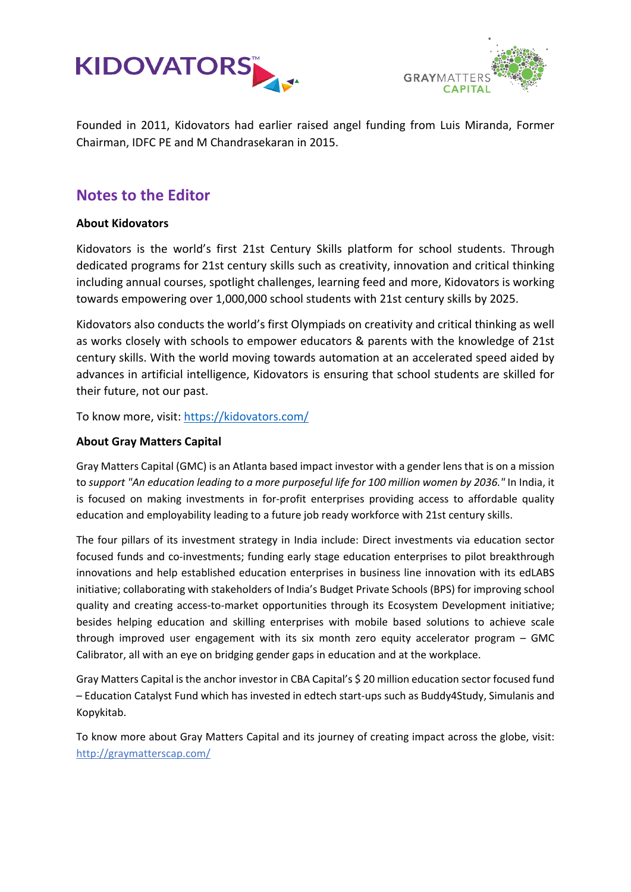



Founded in 2011, Kidovators had earlier raised angel funding from Luis Miranda, Former Chairman, IDFC PE and M Chandrasekaran in 2015.

### **Notes to the Editor**

#### **About Kidovators**

Kidovators is the world's first 21st Century Skills platform for school students. Through dedicated programs for 21st century skills such as creativity, innovation and critical thinking including annual courses, spotlight challenges, learning feed and more, Kidovators is working towards empowering over 1,000,000 school students with 21st century skills by 2025.

Kidovators also conducts the world's first Olympiads on creativity and critical thinking as well as works closely with schools to empower educators & parents with the knowledge of 21st century skills. With the world moving towards automation at an accelerated speed aided by advances in artificial intelligence, Kidovators is ensuring that school students are skilled for their future, not our past.

To know more, visit: <https://kidovators.com/>

#### **About Gray Matters Capital**

Gray Matters Capital (GMC) is an Atlanta based impact investor with a gender lens that is on a mission to *support "An education leading to a more purposeful life for 100 million women by 2036."* In India, it is focused on making investments in for-profit enterprises providing access to affordable quality education and employability leading to a future job ready workforce with 21st century skills.

The four pillars of its investment strategy in India include: Direct investments via education sector focused funds and co-investments; funding early stage education enterprises to pilot breakthrough innovations and help established education enterprises in business line innovation with its edLABS initiative; collaborating with stakeholders of India's Budget Private Schools (BPS) for improving school quality and creating access-to-market opportunities through its Ecosystem Development initiative; besides helping education and skilling enterprises with mobile based solutions to achieve scale through improved user engagement with its six month zero equity accelerator program – GMC Calibrator, all with an eye on bridging gender gaps in education and at the workplace.

Gray Matters Capital is the anchor investor in CBA Capital's \$ 20 million education sector focused fund – Education Catalyst Fund which has invested in edtech start-ups such as Buddy4Study, Simulanis and Kopykitab.

To know more about Gray Matters Capital and its journey of creating impact across the globe, visit: <http://graymatterscap.com/>